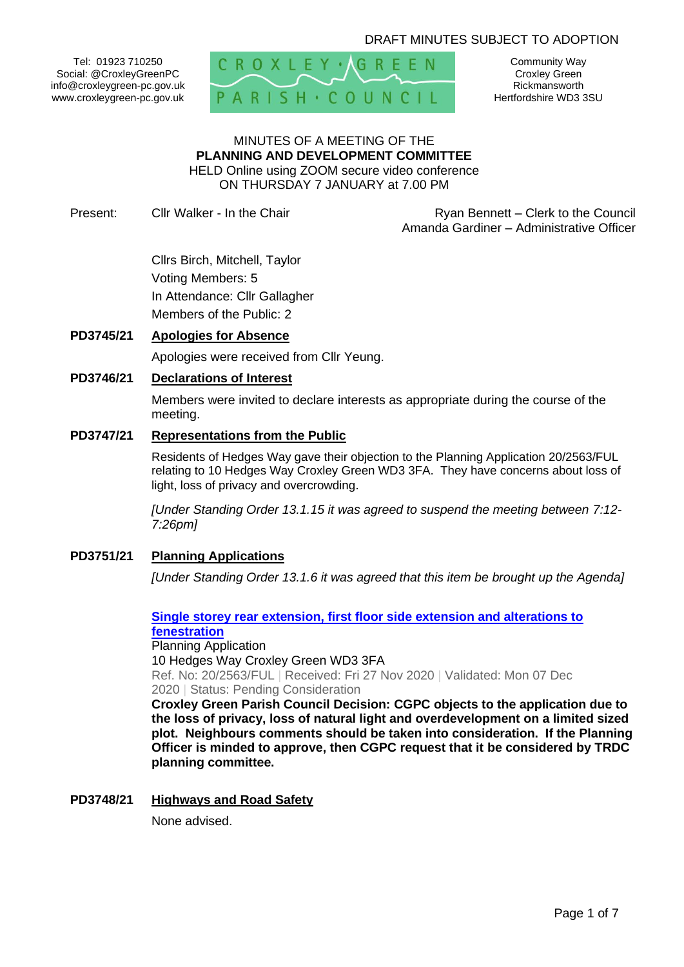# DRAFT MINUTES SUBJECT TO ADOPTION

Tel: 01923 710250 Social: @CroxleyGreenPC info@croxleygreen-pc.gov.uk www.croxleygreen-pc.gov.uk



Community Way Croxley Green Rickmansworth Hertfordshire WD3 3SU

#### MINUTES OF A MEETING OF THE **PLANNING AND DEVELOPMENT COMMITTEE** HELD Online using ZOOM secure video conference ON THURSDAY 7 JANUARY at 7.00 PM

Present: Cllr Walker - In the Chair **Ryan Bennett** – Clerk to the Council Amanda Gardiner – Administrative Officer

> Cllrs Birch, Mitchell, Taylor Voting Members: 5 In Attendance: Cllr Gallagher Members of the Public: 2

# **PD3745/21 Apologies for Absence**

Apologies were received from Cllr Yeung.

## **PD3746/21 Declarations of Interest**

Members were invited to declare interests as appropriate during the course of the meeting.

#### **PD3747/21 Representations from the Public**

Residents of Hedges Way gave their objection to the Planning Application 20/2563/FUL relating to 10 Hedges Way Croxley Green WD3 3FA. They have concerns about loss of light, loss of privacy and overcrowding.

*[Under Standing Order 13.1.15 it was agreed to suspend the meeting between 7:12- 7:26pm]*

## **PD3751/21 Planning Applications**

*[Under Standing Order 13.1.6 it was agreed that this item be brought up the Agenda]*

## **[Single storey rear extension, first floor side extension and alterations to](https://www3.threerivers.gov.uk/online-applications/applicationDetails.do?activeTab=summary&keyVal=QKG3QHQFLEC00&prevPage=inTray)  [fenestration](https://www3.threerivers.gov.uk/online-applications/applicationDetails.do?activeTab=summary&keyVal=QKG3QHQFLEC00&prevPage=inTray)** Planning Application

10 Hedges Way Croxley Green WD3 3FA Ref. No: 20/2563/FUL | Received: Fri 27 Nov 2020 | Validated: Mon 07 Dec 2020 | Status: Pending Consideration

**Croxley Green Parish Council Decision: CGPC objects to the application due to the loss of privacy, loss of natural light and overdevelopment on a limited sized plot. Neighbours comments should be taken into consideration. If the Planning Officer is minded to approve, then CGPC request that it be considered by TRDC planning committee.**

## **PD3748/21 Highways and Road Safety**

None advised.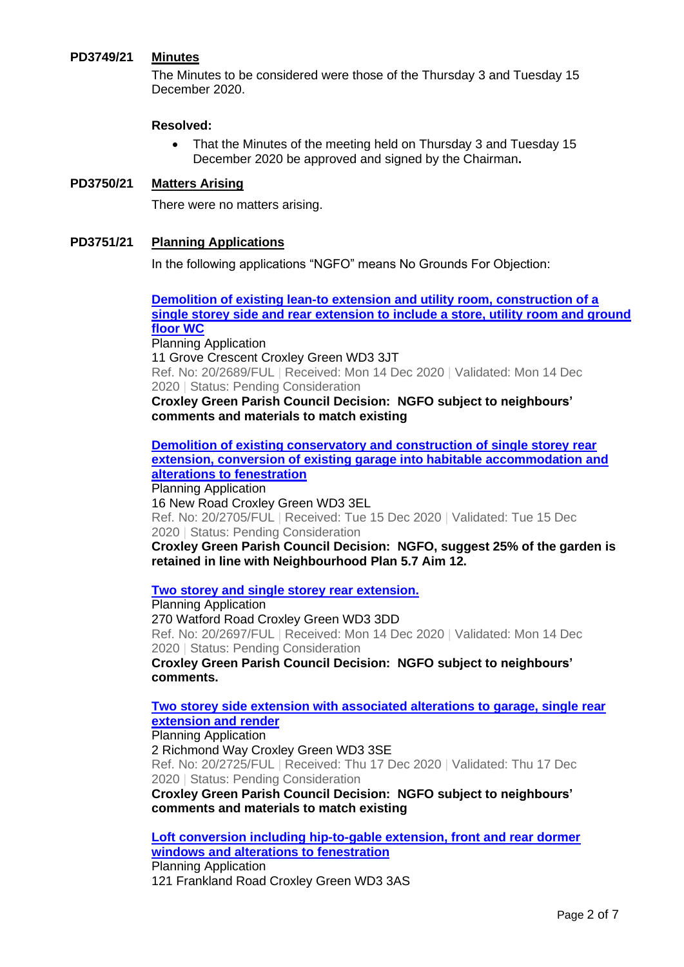# **PD3749/21 Minutes**

The Minutes to be considered were those of the Thursday 3 and Tuesday 15 December 2020.

## **Resolved:**

• That the Minutes of the meeting held on Thursday 3 and Tuesday 15 December 2020 be approved and signed by the Chairman**.**

## **PD3750/21 Matters Arising**

There were no matters arising.

## **PD3751/21 Planning Applications**

In the following applications "NGFO" means No Grounds For Objection:

**[Demolition of existing lean-to extension and utility room, construction of a](https://www3.threerivers.gov.uk/online-applications/applicationDetails.do?activeTab=summary&keyVal=QL7VLGQFLKF00&prevPage=inTray)  [single storey side and rear extension to include a store, utility room and ground](https://www3.threerivers.gov.uk/online-applications/applicationDetails.do?activeTab=summary&keyVal=QL7VLGQFLKF00&prevPage=inTray)  [floor WC](https://www3.threerivers.gov.uk/online-applications/applicationDetails.do?activeTab=summary&keyVal=QL7VLGQFLKF00&prevPage=inTray)**

Planning Application 11 Grove Crescent Croxley Green WD3 3JT Ref. No: 20/2689/FUL | Received: Mon 14 Dec 2020 | Validated: Mon 14 Dec 2020 | Status: Pending Consideration

**Croxley Green Parish Council Decision: NGFO subject to neighbours' comments and materials to match existing**

**[Demolition of existing conservatory and construction of single storey rear](https://www3.threerivers.gov.uk/online-applications/applicationDetails.do?activeTab=summary&keyVal=QLDFPBQFLLK00&prevPage=inTray)  [extension, conversion of existing garage into habitable accommodation and](https://www3.threerivers.gov.uk/online-applications/applicationDetails.do?activeTab=summary&keyVal=QLDFPBQFLLK00&prevPage=inTray)  [alterations to fenestration](https://www3.threerivers.gov.uk/online-applications/applicationDetails.do?activeTab=summary&keyVal=QLDFPBQFLLK00&prevPage=inTray)** Planning Application

16 New Road Croxley Green WD3 3EL Ref. No: 20/2705/FUL | Received: Tue 15 Dec 2020 | Validated: Tue 15 Dec 2020 | Status: Pending Consideration

**Croxley Green Parish Council Decision: NGFO, suggest 25% of the garden is retained in line with Neighbourhood Plan 5.7 Aim 12.**

**[Two storey and single storey rear extension.](https://www3.threerivers.gov.uk/online-applications/applicationDetails.do?activeTab=summary&keyVal=QLBKZNQFLL200&prevPage=inTray)**

Planning Application 270 Watford Road Croxley Green WD3 3DD Ref. No: 20/2697/FUL | Received: Mon 14 Dec 2020 | Validated: Mon 14 Dec 2020 | Status: Pending Consideration

**Croxley Green Parish Council Decision: NGFO subject to neighbours' comments.**

**[Two storey side extension with associated alterations to garage, single rear](https://www3.threerivers.gov.uk/online-applications/applicationDetails.do?activeTab=summary&keyVal=QLH513QFLMM00&prevPage=inTray)  [extension and render](https://www3.threerivers.gov.uk/online-applications/applicationDetails.do?activeTab=summary&keyVal=QLH513QFLMM00&prevPage=inTray)**

#### Planning Application

2 Richmond Way Croxley Green WD3 3SE Ref. No: 20/2725/FUL | Received: Thu 17 Dec 2020 | Validated: Thu 17 Dec 2020 | Status: Pending Consideration

**Croxley Green Parish Council Decision: NGFO subject to neighbours' comments and materials to match existing**

**[Loft conversion including hip-to-gable extension, front and rear dormer](https://www3.threerivers.gov.uk/online-applications/applicationDetails.do?activeTab=summary&keyVal=QKG3PZQFLE800&prevPage=inTray)  [windows and alterations to fenestration](https://www3.threerivers.gov.uk/online-applications/applicationDetails.do?activeTab=summary&keyVal=QKG3PZQFLE800&prevPage=inTray)** Planning Application 121 Frankland Road Croxley Green WD3 3AS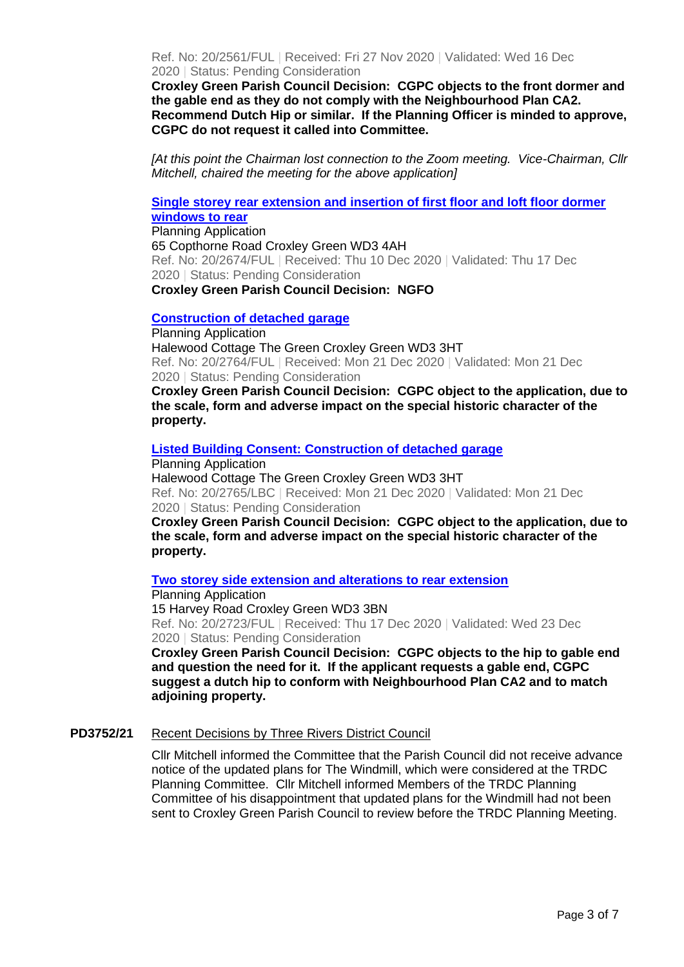Ref. No: 20/2561/FUL | Received: Fri 27 Nov 2020 | Validated: Wed 16 Dec 2020 | Status: Pending Consideration

**Croxley Green Parish Council Decision: CGPC objects to the front dormer and the gable end as they do not comply with the Neighbourhood Plan CA2. Recommend Dutch Hip or similar. If the Planning Officer is minded to approve, CGPC do not request it called into Committee.**

*[At this point the Chairman lost connection to the Zoom meeting. Vice-Chairman, Cllr Mitchell, chaired the meeting for the above application]*

**[Single storey rear extension and insertion of first floor and loft floor dormer](https://www3.threerivers.gov.uk/online-applications/applicationDetails.do?activeTab=summary&keyVal=QL4HDCQFLJO00&prevPage=inTray)  [windows to rear](https://www3.threerivers.gov.uk/online-applications/applicationDetails.do?activeTab=summary&keyVal=QL4HDCQFLJO00&prevPage=inTray)**

Planning Application 65 Copthorne Road Croxley Green WD3 4AH Ref. No: 20/2674/FUL | Received: Thu 10 Dec 2020 | Validated: Thu 17 Dec 2020 | Status: Pending Consideration **Croxley Green Parish Council Decision: NGFO**

#### **[Construction of detached garage](https://www3.threerivers.gov.uk/online-applications/applicationDetails.do?activeTab=summary&keyVal=QLKUIXQFLOG00&prevPage=inTray)**

Planning Application Halewood Cottage The Green Croxley Green WD3 3HT Ref. No: 20/2764/FUL | Received: Mon 21 Dec 2020 | Validated: Mon 21 Dec 2020 | Status: Pending Consideration

**Croxley Green Parish Council Decision: CGPC object to the application, due to the scale, form and adverse impact on the special historic character of the property.**

### **[Listed Building Consent: Construction of detached garage](https://www3.threerivers.gov.uk/online-applications/applicationDetails.do?activeTab=summary&keyVal=QLKUJ5QFLOH00&prevPage=inTray)**

Planning Application Halewood Cottage The Green Croxley Green WD3 3HT Ref. No: 20/2765/LBC | Received: Mon 21 Dec 2020 | Validated: Mon 21 Dec 2020 | Status: Pending Consideration

**Croxley Green Parish Council Decision: CGPC object to the application, due to the scale, form and adverse impact on the special historic character of the property.**

#### **[Two storey side extension and alterations to rear extension](https://www3.threerivers.gov.uk/online-applications/applicationDetails.do?activeTab=summary&keyVal=QLH505QFLMI00&prevPage=inTray)**

Planning Application 15 Harvey Road Croxley Green WD3 3BN Ref. No: 20/2723/FUL | Received: Thu 17 Dec 2020 | Validated: Wed 23 Dec 2020 | Status: Pending Consideration

**Croxley Green Parish Council Decision: CGPC objects to the hip to gable end and question the need for it. If the applicant requests a gable end, CGPC suggest a dutch hip to conform with Neighbourhood Plan CA2 and to match adjoining property.**

## **PD3752/21** Recent Decisions by Three Rivers District Council

Cllr Mitchell informed the Committee that the Parish Council did not receive advance notice of the updated plans for The Windmill, which were considered at the TRDC Planning Committee. Cllr Mitchell informed Members of the TRDC Planning Committee of his disappointment that updated plans for the Windmill had not been sent to Croxley Green Parish Council to review before the TRDC Planning Meeting.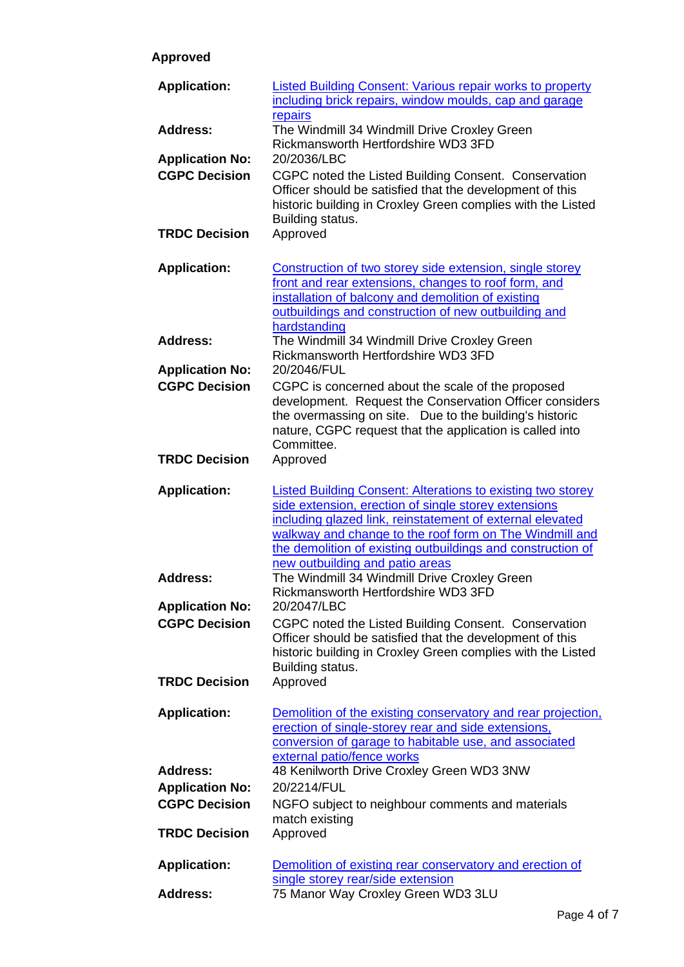# **Approved**

| <b>Application:</b>                            | <b>Listed Building Consent: Various repair works to property</b><br>including brick repairs, window moulds, cap and garage                                                                                                                                                                                                                           |
|------------------------------------------------|------------------------------------------------------------------------------------------------------------------------------------------------------------------------------------------------------------------------------------------------------------------------------------------------------------------------------------------------------|
| <b>Address:</b>                                | repairs<br>The Windmill 34 Windmill Drive Croxley Green<br>Rickmansworth Hertfordshire WD3 3FD                                                                                                                                                                                                                                                       |
| <b>Application No:</b><br><b>CGPC Decision</b> | 20/2036/LBC<br>CGPC noted the Listed Building Consent. Conservation<br>Officer should be satisfied that the development of this<br>historic building in Croxley Green complies with the Listed<br>Building status.                                                                                                                                   |
| <b>TRDC Decision</b>                           | Approved                                                                                                                                                                                                                                                                                                                                             |
| <b>Application:</b>                            | Construction of two storey side extension, single storey<br>front and rear extensions, changes to roof form, and<br>installation of balcony and demolition of existing<br>outbuildings and construction of new outbuilding and<br>hardstanding                                                                                                       |
| <b>Address:</b>                                | The Windmill 34 Windmill Drive Croxley Green<br>Rickmansworth Hertfordshire WD3 3FD                                                                                                                                                                                                                                                                  |
| <b>Application No:</b><br><b>CGPC Decision</b> | 20/2046/FUL<br>CGPC is concerned about the scale of the proposed<br>development. Request the Conservation Officer considers<br>the overmassing on site. Due to the building's historic<br>nature, CGPC request that the application is called into<br>Committee.                                                                                     |
| <b>TRDC Decision</b>                           | Approved                                                                                                                                                                                                                                                                                                                                             |
| <b>Application:</b>                            | <b>Listed Building Consent: Alterations to existing two storey</b><br>side extension, erection of single storey extensions<br>including glazed link, reinstatement of external elevated<br>walkway and change to the roof form on The Windmill and<br>the demolition of existing outbuildings and construction of<br>new outbuilding and patio areas |
| <b>Address:</b><br><b>Application No:</b>      | The Windmill 34 Windmill Drive Croxley Green<br>Rickmansworth Hertfordshire WD3 3FD<br>20/2047/LBC                                                                                                                                                                                                                                                   |
| <b>CGPC Decision</b>                           | CGPC noted the Listed Building Consent. Conservation<br>Officer should be satisfied that the development of this<br>historic building in Croxley Green complies with the Listed<br>Building status.                                                                                                                                                  |
| <b>TRDC Decision</b>                           | Approved                                                                                                                                                                                                                                                                                                                                             |
| <b>Application:</b>                            | Demolition of the existing conservatory and rear projection,<br>erection of single-storey rear and side extensions,<br>conversion of garage to habitable use, and associated<br>external patio/fence works                                                                                                                                           |
| <b>Address:</b>                                | 48 Kenilworth Drive Croxley Green WD3 3NW                                                                                                                                                                                                                                                                                                            |
| <b>Application No:</b>                         | 20/2214/FUL                                                                                                                                                                                                                                                                                                                                          |
| <b>CGPC Decision</b>                           | NGFO subject to neighbour comments and materials<br>match existing                                                                                                                                                                                                                                                                                   |
| <b>TRDC Decision</b>                           | Approved                                                                                                                                                                                                                                                                                                                                             |
| <b>Application:</b>                            | Demolition of existing rear conservatory and erection of<br>single storey rear/side extension                                                                                                                                                                                                                                                        |
| <b>Address:</b>                                | 75 Manor Way Croxley Green WD3 3LU                                                                                                                                                                                                                                                                                                                   |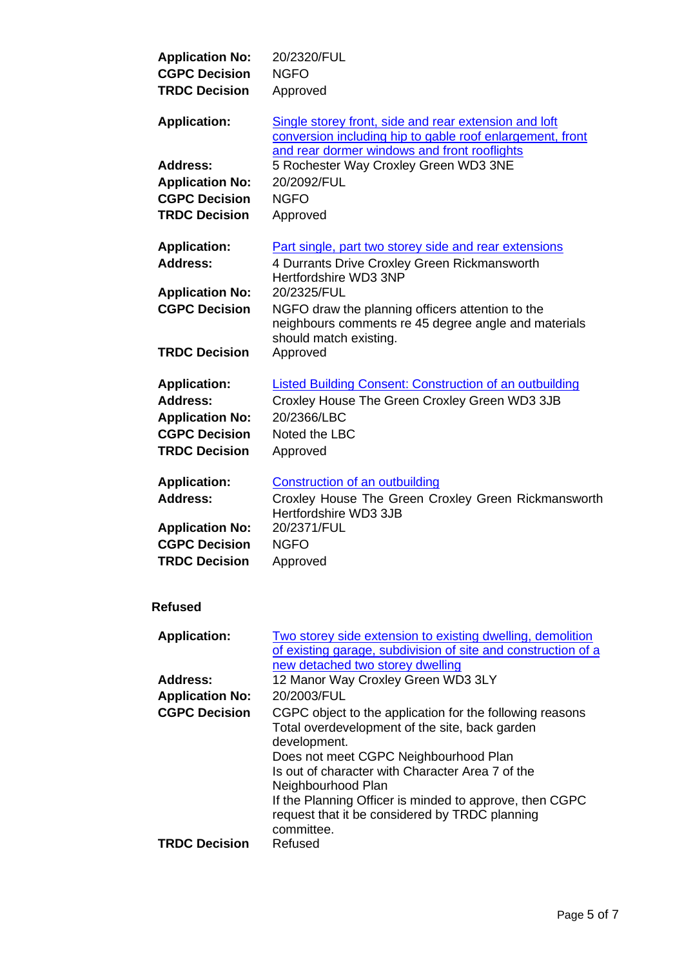| <b>Application No:</b> | 20/2320/FUL                                                       |
|------------------------|-------------------------------------------------------------------|
| <b>CGPC Decision</b>   | <b>NGFO</b>                                                       |
| <b>TRDC Decision</b>   | Approved                                                          |
| <b>Application:</b>    | Single storey front, side and rear extension and loft             |
|                        | conversion including hip to gable roof enlargement, front         |
|                        | and rear dormer windows and front rooflights                      |
| <b>Address:</b>        | 5 Rochester Way Croxley Green WD3 3NE                             |
| <b>Application No:</b> | 20/2092/FUL                                                       |
|                        |                                                                   |
| <b>CGPC Decision</b>   | <b>NGFO</b>                                                       |
| <b>TRDC Decision</b>   | Approved                                                          |
| <b>Application:</b>    | Part single, part two storey side and rear extensions             |
| <b>Address:</b>        | 4 Durrants Drive Croxley Green Rickmansworth                      |
|                        | Hertfordshire WD3 3NP                                             |
| <b>Application No:</b> | 20/2325/FUL                                                       |
| <b>CGPC Decision</b>   | NGFO draw the planning officers attention to the                  |
|                        | neighbours comments re 45 degree angle and materials              |
|                        | should match existing.                                            |
| <b>TRDC Decision</b>   | Approved                                                          |
|                        |                                                                   |
| <b>Application:</b>    | Listed Building Consent: Construction of an outbuilding           |
| <b>Address:</b>        | Croxley House The Green Croxley Green WD3 3JB                     |
| <b>Application No:</b> | 20/2366/LBC                                                       |
| <b>CGPC Decision</b>   | Noted the LBC                                                     |
| <b>TRDC Decision</b>   | Approved                                                          |
|                        |                                                                   |
| <b>Application:</b>    | <b>Construction of an outbuilding</b>                             |
| <b>Address:</b>        | Croxley House The Green Croxley Green Rickmansworth               |
|                        | Hertfordshire WD3 3JB                                             |
| <b>Application No:</b> | 20/2371/FUL                                                       |
| <b>CGPC Decision</b>   | <b>NGFO</b>                                                       |
| <b>TRDC Decision</b>   | Approved                                                          |
|                        |                                                                   |
| <b>Refused</b>         |                                                                   |
|                        |                                                                   |
| <b>Application:</b>    | <u>Two storey side extension to existing dwelling, demolition</u> |
|                        | of existing garage, subdivision of site and construction of a     |
|                        | new detached two storey dwelling                                  |
| Address:               | 12 Manor Way Croxley Green WD3 3LY                                |
| <b>Application No:</b> | 20/2003/FUL                                                       |
| <b>CGPC Decision</b>   | CGPC object to the application for the following reasons          |
|                        | Total overdevelopment of the site, back garden                    |
|                        | development.                                                      |
|                        | Does not meet CGPC Neighbourhood Plan                             |
|                        | Is out of character with Character Area 7 of the                  |
|                        | Neighbourhood Plan                                                |
|                        | If the Planning Officer is minded to approve, then CGPC           |
|                        | request that it be considered by TRDC planning                    |
|                        | committee.                                                        |
| <b>TRDC Decision</b>   | Refused                                                           |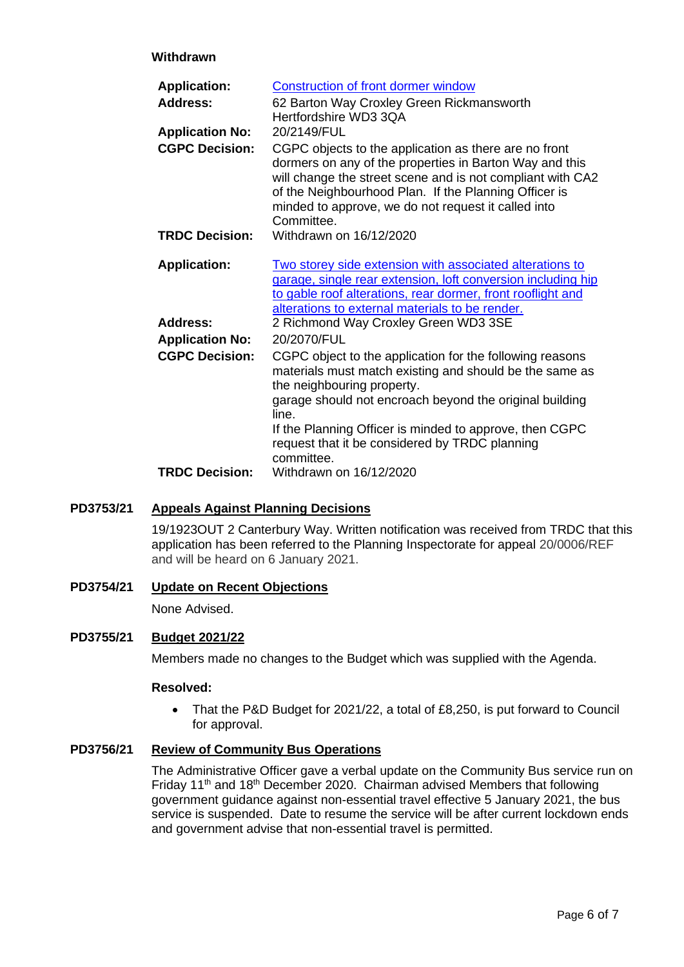# **Withdrawn**

| <b>Application:</b>    | <b>Construction of front dormer window</b>                                                                                                                                                                                                                                                                   |
|------------------------|--------------------------------------------------------------------------------------------------------------------------------------------------------------------------------------------------------------------------------------------------------------------------------------------------------------|
| <b>Address:</b>        | 62 Barton Way Croxley Green Rickmansworth<br>Hertfordshire WD3 3QA                                                                                                                                                                                                                                           |
| <b>Application No:</b> | 20/2149/FUL                                                                                                                                                                                                                                                                                                  |
| <b>CGPC Decision:</b>  | CGPC objects to the application as there are no front<br>dormers on any of the properties in Barton Way and this<br>will change the street scene and is not compliant with CA2<br>of the Neighbourhood Plan. If the Planning Officer is<br>minded to approve, we do not request it called into<br>Committee. |
| <b>TRDC Decision:</b>  | Withdrawn on 16/12/2020                                                                                                                                                                                                                                                                                      |
| <b>Application:</b>    | Two storey side extension with associated alterations to<br>garage, single rear extension, loft conversion including hip<br>to gable roof alterations, rear dormer, front rooflight and<br>alterations to external materials to be render.                                                                   |
| Address:               | 2 Richmond Way Croxley Green WD3 3SE                                                                                                                                                                                                                                                                         |
| <b>Application No:</b> | 20/2070/FUL                                                                                                                                                                                                                                                                                                  |
| <b>CGPC Decision:</b>  | CGPC object to the application for the following reasons<br>materials must match existing and should be the same as<br>the neighbouring property.                                                                                                                                                            |
|                        | garage should not encroach beyond the original building<br>line.                                                                                                                                                                                                                                             |
|                        | If the Planning Officer is minded to approve, then CGPC<br>request that it be considered by TRDC planning<br>committee.                                                                                                                                                                                      |
| <b>TRDC Decision:</b>  | Withdrawn on 16/12/2020                                                                                                                                                                                                                                                                                      |

# **PD3753/21 Appeals Against Planning Decisions**

19/1923OUT 2 Canterbury Way. Written notification was received from TRDC that this application has been referred to the Planning Inspectorate for appeal 20/0006/REF and will be heard on 6 January 2021.

**PD3754/21 Update on Recent Objections**

None Advised.

# **PD3755/21 Budget 2021/22**

Members made no changes to the Budget which was supplied with the Agenda.

## **Resolved:**

• That the P&D Budget for 2021/22, a total of £8,250, is put forward to Council for approval.

# **PD3756/21 Review of Community Bus Operations**

The Administrative Officer gave a verbal update on the Community Bus service run on Friday 11<sup>th</sup> and 18<sup>th</sup> December 2020. Chairman advised Members that following government guidance against non-essential travel effective 5 January 2021, the bus service is suspended. Date to resume the service will be after current lockdown ends and government advise that non-essential travel is permitted.